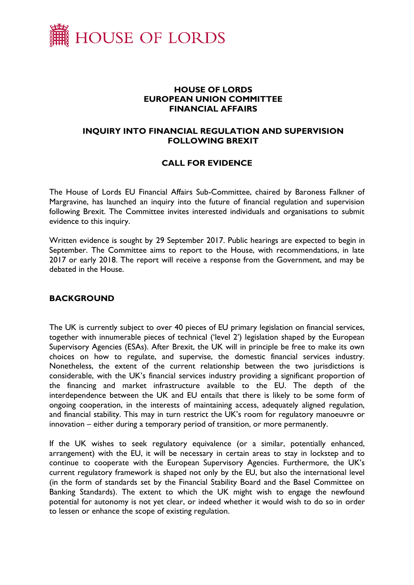

### **HOUSE OF LORDS EUROPEAN UNION COMMITTEE FINANCIAL AFFAIRS**

# **INQUIRY INTO FINANCIAL REGULATION AND SUPERVISION FOLLOWING BREXIT**

# **CALL FOR EVIDENCE**

The House of Lords EU Financial Affairs Sub-Committee, chaired by Baroness Falkner of Margravine, has launched an inquiry into the future of financial regulation and supervision following Brexit. The Committee invites interested individuals and organisations to submit evidence to this inquiry.

Written evidence is sought by 29 September 2017. Public hearings are expected to begin in September. The Committee aims to report to the House, with recommendations, in late 2017 or early 2018. The report will receive a response from the Government, and may be debated in the House.

#### **BACKGROUND**

The UK is currently subject to over 40 pieces of EU primary legislation on financial services, together with innumerable pieces of technical ('level 2') legislation shaped by the European Supervisory Agencies (ESAs). After Brexit, the UK will in principle be free to make its own choices on how to regulate, and supervise, the domestic financial services industry. Nonetheless, the extent of the current relationship between the two jurisdictions is considerable, with the UK's financial services industry providing a significant proportion of the financing and market infrastructure available to the EU. The depth of the interdependence between the UK and EU entails that there is likely to be some form of ongoing cooperation, in the interests of maintaining access, adequately aligned regulation, and financial stability. This may in turn restrict the UK's room for regulatory manoeuvre or innovation – either during a temporary period of transition, or more permanently.

If the UK wishes to seek regulatory equivalence (or a similar, potentially enhanced, arrangement) with the EU, it will be necessary in certain areas to stay in lockstep and to continue to cooperate with the European Supervisory Agencies. Furthermore, the UK's current regulatory framework is shaped not only by the EU, but also the international level (in the form of standards set by the Financial Stability Board and the Basel Committee on Banking Standards). The extent to which the UK might wish to engage the newfound potential for autonomy is not yet clear, or indeed whether it would wish to do so in order to lessen or enhance the scope of existing regulation.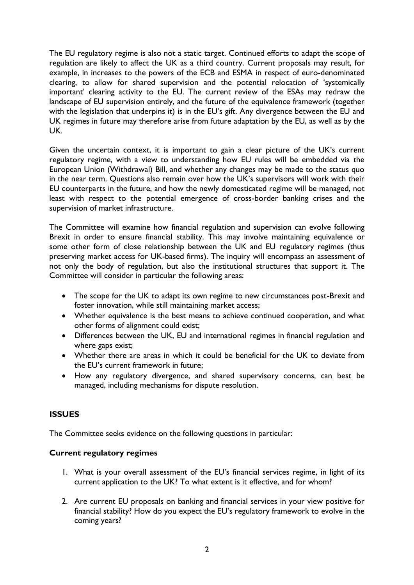The EU regulatory regime is also not a static target. Continued efforts to adapt the scope of regulation are likely to affect the UK as a third country. Current proposals may result, for example, in increases to the powers of the ECB and ESMA in respect of euro-denominated clearing, to allow for shared supervision and the potential relocation of 'systemically important' clearing activity to the EU. The current review of the ESAs may redraw the landscape of EU supervision entirely, and the future of the equivalence framework (together with the legislation that underpins it) is in the EU's gift. Any divergence between the EU and UK regimes in future may therefore arise from future adaptation by the EU, as well as by the UK.

Given the uncertain context, it is important to gain a clear picture of the UK's current regulatory regime, with a view to understanding how EU rules will be embedded via the European Union (Withdrawal) Bill, and whether any changes may be made to the status quo in the near term. Questions also remain over how the UK's supervisors will work with their EU counterparts in the future, and how the newly domesticated regime will be managed, not least with respect to the potential emergence of cross-border banking crises and the supervision of market infrastructure.

The Committee will examine how financial regulation and supervision can evolve following Brexit in order to ensure financial stability. This may involve maintaining equivalence or some other form of close relationship between the UK and EU regulatory regimes (thus preserving market access for UK-based firms). The inquiry will encompass an assessment of not only the body of regulation, but also the institutional structures that support it. The Committee will consider in particular the following areas:

- The scope for the UK to adapt its own regime to new circumstances post-Brexit and foster innovation, while still maintaining market access;
- Whether equivalence is the best means to achieve continued cooperation, and what other forms of alignment could exist;
- Differences between the UK, EU and international regimes in financial regulation and where gaps exist;
- Whether there are areas in which it could be beneficial for the UK to deviate from the EU's current framework in future;
- How any regulatory divergence, and shared supervisory concerns, can best be managed, including mechanisms for dispute resolution.

# **ISSUES**

The Committee seeks evidence on the following questions in particular:

### **Current regulatory regimes**

- 1. What is your overall assessment of the EU's financial services regime, in light of its current application to the UK? To what extent is it effective, and for whom?
- 2. Are current EU proposals on banking and financial services in your view positive for financial stability? How do you expect the EU's regulatory framework to evolve in the coming years?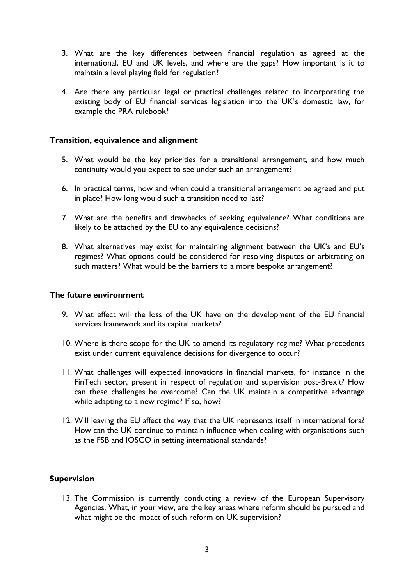- 3. What are the key differences between financial regulation as agreed at the international, EU and UK levels, and where are the gaps? How important is it to maintain a level playing field for regulation?
- 4. Are there any particular legal or practical challenges related to incorporating the existing body of EU financial services legislation into the UK's domestic law, for example the PRA rulebook?

#### **Transition, equivalence and alignment**

- 5. What would be the key priorities for a transitional arrangement, and how much continuity would you expect to see under such an arrangement?
- 6. In practical terms, how and when could a transitional arrangement be agreed and put in place? How long would such a transition need to last?
- 7. What are the benefits and drawbacks of seeking equivalence? What conditions are likely to be attached by the EU to any equivalence decisions?
- 8. What alternatives may exist for maintaining alignment between the UK's and EU's regimes? What options could be considered for resolving disputes or arbitrating on such matters? What would be the barriers to a more bespoke arrangement?

#### **The future environment**

- 9. What effect will the loss of the UK have on the development of the EU financial services framework and its capital markets?
- 10. Where is there scope for the UK to amend its regulatory regime? What precedents exist under current equivalence decisions for divergence to occur?
- 11. What challenges will expected innovations in financial markets, for instance in the FinTech sector, present in respect of regulation and supervision post-Brexit? How can these challenges be overcome? Can the UK maintain a competitive advantage while adapting to a new regime? If so, how?
- 12. Will leaving the EU affect the way that the UK represents itself in international fora? How can the UK continue to maintain influence when dealing with organisations such as the FSB and IOSCO in setting international standards?

### **Supervision**

13. The Commission is currently conducting a review of the European Supervisory Agencies. What, in your view, are the key areas where reform should be pursued and what might be the impact of such reform on UK supervision?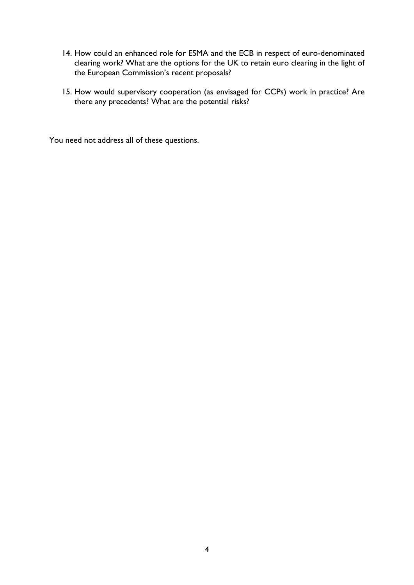- 14. How could an enhanced role for ESMA and the ECB in respect of euro-denominated clearing work? What are the options for the UK to retain euro clearing in the light of the European Commission's recent proposals?
- 15. How would supervisory cooperation (as envisaged for CCPs) work in practice? Are there any precedents? What are the potential risks?

You need not address all of these questions.